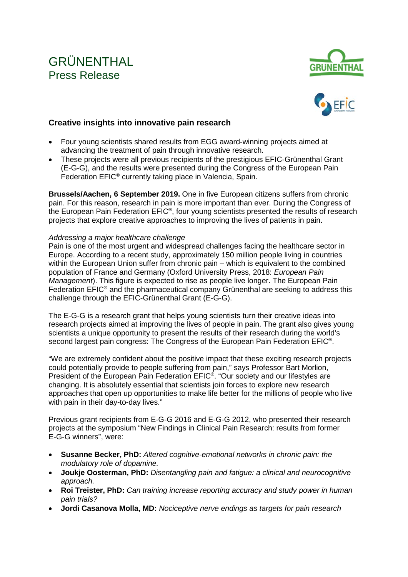# GRÜNENTHAL Press Release





## **Creative insights into innovative pain research**

- Four young scientists shared results from EGG award-winning projects aimed at advancing the treatment of pain through innovative research.
- These projects were all previous recipients of the prestigious EFIC-Grünenthal Grant (E-G-G), and the results were presented during the Congress of the European Pain Federation EFIC® currently taking place in Valencia, Spain.

**Brussels/Aachen, 6 September 2019.** One in five European citizens suffers from chronic pain. For this reason, research in pain is more important than ever. During the Congress of the European Pain Federation EFIC®, four young scientists presented the results of research projects that explore creative approaches to improving the lives of patients in pain.

### *Addressing a major healthcare challenge*

Pain is one of the most urgent and widespread challenges facing the healthcare sector in Europe. According to a recent study, approximately 150 million people living in countries within the European Union suffer from chronic pain – which is equivalent to the combined population of France and Germany (Oxford University Press, 2018: *European Pain Management*). This figure is expected to rise as people live longer. The European Pain Federation EFIC® and the pharmaceutical company Grünenthal are seeking to address this challenge through the EFIC-Grünenthal Grant (E-G-G).

The E-G-G is a research grant that helps young scientists turn their creative ideas into research projects aimed at improving the lives of people in pain. The grant also gives young scientists a unique opportunity to present the results of their research during the world's second largest pain congress: The Congress of the European Pain Federation EFIC®.

"We are extremely confident about the positive impact that these exciting research projects could potentially provide to people suffering from pain," says Professor Bart Morlion, President of the European Pain Federation EFIC®. "Our society and our lifestyles are changing. It is absolutely essential that scientists join forces to explore new research approaches that open up opportunities to make life better for the millions of people who live with pain in their day-to-day lives."

Previous grant recipients from E-G-G 2016 and E-G-G 2012, who presented their research projects at the symposium "New Findings in Clinical Pain Research: results from former E-G-G winners", were:

- **Susanne Becker, PhD:** *Altered cognitive-emotional networks in chronic pain: the modulatory role of dopamine.*
- **Joukje Oosterman, PhD:** *Disentangling pain and fatigue: a clinical and neurocognitive approach.*
- **Roi Treister, PhD:** *Can training increase reporting accuracy and study power in human pain trials?*
- **Jordi Casanova Molla, MD:** *Nociceptive nerve endings as targets for pain research*